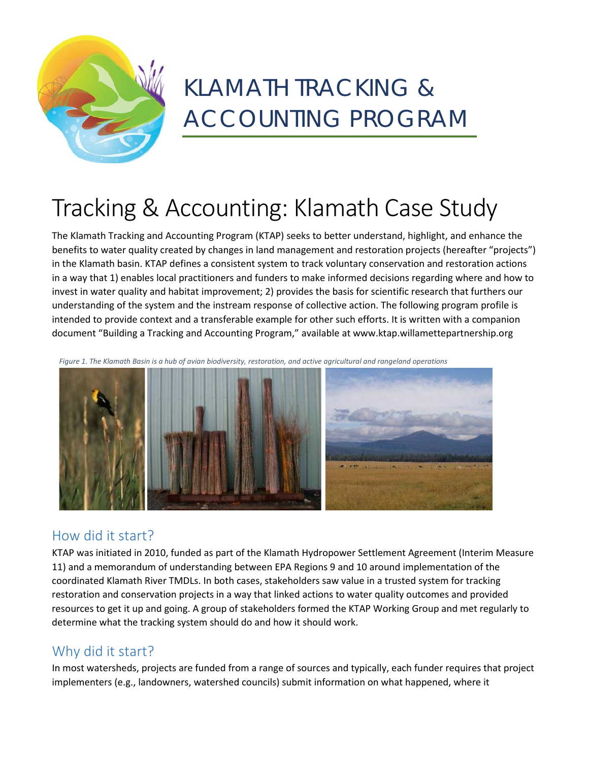

# KLAMATH TRACKING & ACCOUNTING PROGRAM

# Tracking & Accounting: Klamath Case Study

The Klamath Tracking and Accounting Program (KTAP) seeks to better understand, highlight, and enhance the benefits to water quality created by changes in land management and restoration projects (hereafter "projects") in the Klamath basin. KTAP defines a consistent system to track voluntary conservation and restoration actions in a way that 1) enables local practitioners and funders to make informed decisions regarding where and how to invest in water quality and habitat improvement; 2) provides the basis for scientific research that furthers our understanding of the system and the instream response of collective action. The following program profile is intended to provide context and a transferable example for other such efforts. It is written with a companion document "Building a Tracking and Accounting Program," available at www.ktap.willamettepartnership.org

*Figure 1. The Klamath Basin is a hub of avian biodiversity, restoration, and active agricultural and rangeland operations*



## How did it start?

KTAP was initiated in 2010, funded as part of the Klamath Hydropower Settlement Agreement (Interim Measure 11) and a memorandum of understanding between EPA Regions 9 and 10 around implementation of the coordinated Klamath River TMDLs. In both cases, stakeholders saw value in a trusted system for tracking restoration and conservation projects in a way that linked actions to water quality outcomes and provided resources to get it up and going. A group of stakeholders formed the KTAP Working Group and met regularly to determine what the tracking system should do and how it should work.

## Why did it start?

In most watersheds, projects are funded from a range of sources and typically, each funder requires that project implementers (e.g., landowners, watershed councils) submit information on what happened, where it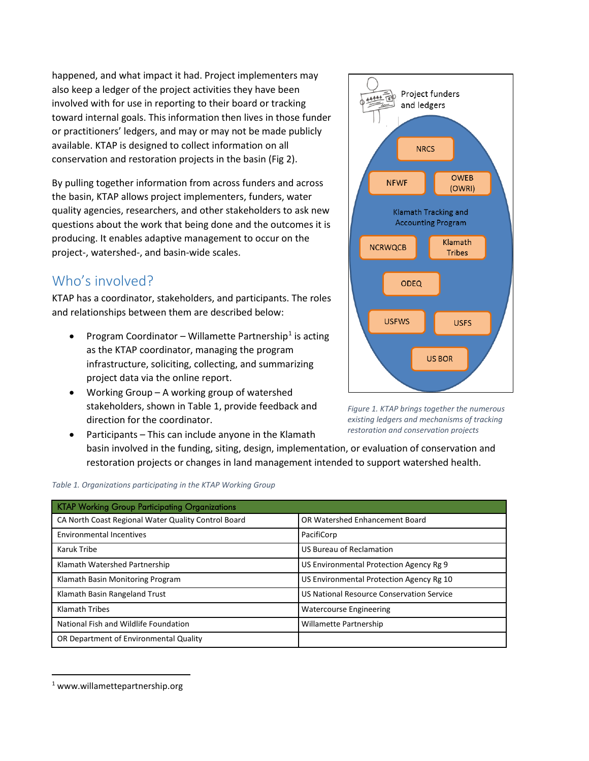happened, and what impact it had. Project implementers may also keep a ledger of the project activities they have been involved with for use in reporting to their board or tracking toward internal goals. This information then lives in those funder or practitioners' ledgers, and may or may not be made publicly available. KTAP is designed to collect information on all conservation and restoration projects in the basin (Fig 2).

By pulling together information from across funders and across the basin, KTAP allows project implementers, funders, water quality agencies, researchers, and other stakeholders to ask new questions about the work that being done and the outcomes it is producing. It enables adaptive management to occur on the project-, watershed-, and basin-wide scales.

## Who's involved?

KTAP has a coordinator, stakeholders, and participants. The roles and relationships between them are described below:

- Program Coordinator Willamette Partnership<sup>[1](#page-1-0)</sup> is acting as the KTAP coordinator, managing the program infrastructure, soliciting, collecting, and summarizing project data via the online report.
- Working Group A working group of watershed stakeholders, shown in Table 1, provide feedback and direction for the coordinator.



Project funders

and ledgers

**NRCS** 

Klamath Tracking and **Accounting Program** 

**OWEB** 

(OWRI)

一些

**NFWF** 

*Figure 1. KTAP brings together the numerous existing ledgers and mechanisms of tracking restoration and conservation projects*

Participants – This can include anyone in the Klamath basin involved in the funding, siting, design, implementation, or evaluation of conservation and restoration projects or changes in land management intended to support watershed health.

| <b>KTAP Working Group Participating Organizations</b> |                                           |
|-------------------------------------------------------|-------------------------------------------|
| CA North Coast Regional Water Quality Control Board   | OR Watershed Enhancement Board            |
| <b>Environmental Incentives</b>                       | PacifiCorp                                |
| Karuk Tribe                                           | US Bureau of Reclamation                  |
| Klamath Watershed Partnership                         | US Environmental Protection Agency Rg 9   |
| Klamath Basin Monitoring Program                      | US Environmental Protection Agency Rg 10  |
| Klamath Basin Rangeland Trust                         | US National Resource Conservation Service |
| <b>Klamath Tribes</b>                                 | <b>Watercourse Engineering</b>            |
| National Fish and Wildlife Foundation                 | Willamette Partnership                    |
| OR Department of Environmental Quality                |                                           |

#### *Table 1. Organizations participating in the KTAP Working Group*

 $\overline{a}$ 

<span id="page-1-0"></span><sup>1</sup> www.willamettepartnership.org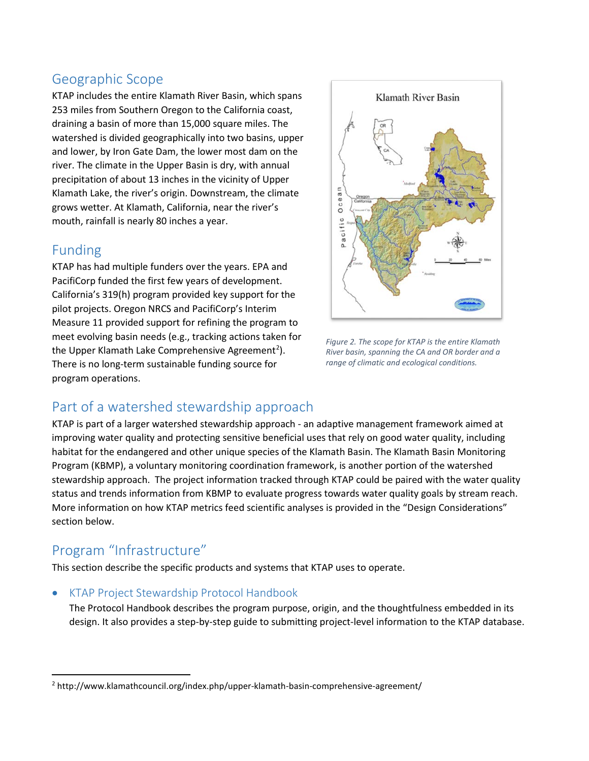## Geographic Scope

KTAP includes the entire Klamath River Basin, which spans 253 miles from Southern Oregon to the California coast, draining a basin of more than 15,000 square miles. The watershed is divided geographically into two basins, upper and lower, by Iron Gate Dam, the lower most dam on the river. The climate in the Upper Basin is dry, with annual precipitation of about 13 inches in the vicinity of Upper Klamath Lake, the river's origin. Downstream, the climate grows wetter. At Klamath, California, near the river's mouth, rainfall is nearly 80 inches a year.

### Funding

KTAP has had multiple funders over the years. EPA and PacifiCorp funded the first few years of development. California's 319(h) program provided key support for the pilot projects. Oregon NRCS and PacifiCorp's Interim Measure 11 provided support for refining the program to meet evolving basin needs (e.g., tracking actions taken for the Upper Klamath Lake Comprehensive Agreement<sup>[2](#page-2-0)</sup>). There is no long-term sustainable funding source for program operations.



*Figure 2. The scope for KTAP is the entire Klamath River basin, spanning the CA and OR border and a range of climatic and ecological conditions.*

# Part of a watershed stewardship approach

KTAP is part of a larger watershed stewardship approach - an adaptive management framework aimed at improving water quality and protecting sensitive beneficial uses that rely on good water quality, including habitat for the endangered and other unique species of the Klamath Basin. The Klamath Basin Monitoring Program (KBMP), a voluntary monitoring coordination framework, is another portion of the watershed stewardship approach. The project information tracked through KTAP could be paired with the water quality status and trends information from KBMP to evaluate progress towards water quality goals by stream reach. More information on how KTAP metrics feed scientific analyses is provided in the "Design Considerations" section below.

# Program "Infrastructure"

 $\overline{a}$ 

This section describe the specific products and systems that KTAP uses to operate.

#### • KTAP Project Stewardship Protocol Handbook

The Protocol Handbook describes the program purpose, origin, and the thoughtfulness embedded in its design. It also provides a step-by-step guide to submitting project-level information to the KTAP database.

<span id="page-2-0"></span><sup>2</sup> http://www.klamathcouncil.org/index.php/upper-klamath-basin-comprehensive-agreement/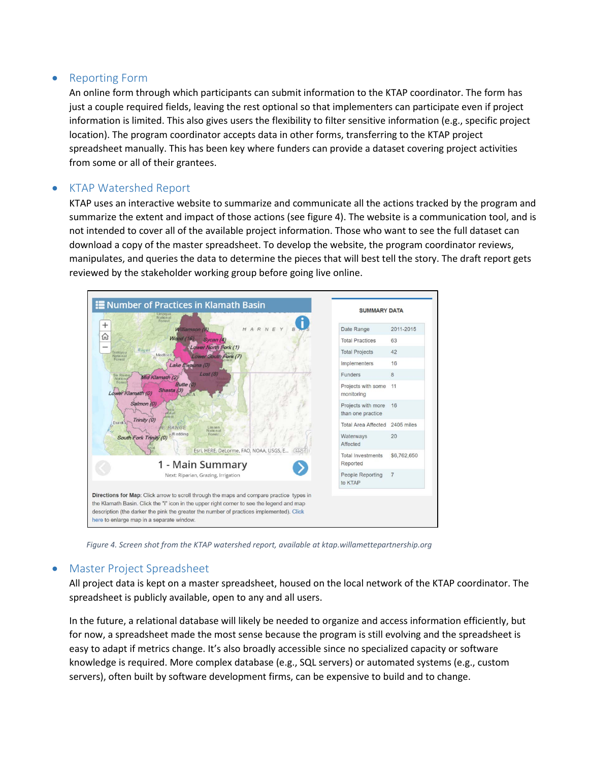#### • Reporting Form

An online form through which participants can submit information to the KTAP coordinator. The form has just a couple required fields, leaving the rest optional so that implementers can participate even if project information is limited. This also gives users the flexibility to filter sensitive information (e.g., specific project location). The program coordinator accepts data in other forms, transferring to the KTAP project spreadsheet manually. This has been key where funders can provide a dataset covering project activities from some or all of their grantees.

#### • KTAP Watershed Report

KTAP uses an interactive website to summarize and communicate all the actions tracked by the program and summarize the extent and impact of those actions (see figure 4). The website is a communication tool, and is not intended to cover all of the available project information. Those who want to see the full dataset can download a copy of the master spreadsheet. To develop the website, the program coordinator reviews, manipulates, and queries the data to determine the pieces that will best tell the story. The draft report gets reviewed by the stakeholder working group before going live online.



*Figure 4. Screen shot from the KTAP watershed report, available at ktap.willamettepartnership.org*

#### • Master Project Spreadsheet

All project data is kept on a master spreadsheet, housed on the local network of the KTAP coordinator. The spreadsheet is publicly available, open to any and all users.

In the future, a relational database will likely be needed to organize and access information efficiently, but for now, a spreadsheet made the most sense because the program is still evolving and the spreadsheet is easy to adapt if metrics change. It's also broadly accessible since no specialized capacity or software knowledge is required. More complex database (e.g., SQL servers) or automated systems (e.g., custom servers), often built by software development firms, can be expensive to build and to change.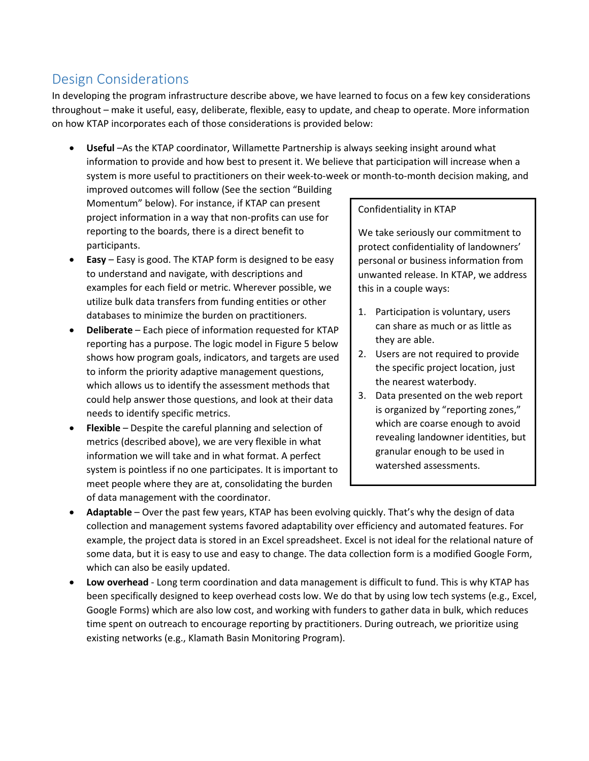# Design Considerations

In developing the program infrastructure describe above, we have learned to focus on a few key considerations throughout – make it useful, easy, deliberate, flexible, easy to update, and cheap to operate. More information on how KTAP incorporates each of those considerations is provided below:

• **Useful** –As the KTAP coordinator, Willamette Partnership is always seeking insight around what information to provide and how best to present it. We believe that participation will increase when a system is more useful to practitioners on their week-to-week or month-to-month decision making, and

improved outcomes will follow (See the section "Building Momentum" below). For instance, if KTAP can present project information in a way that non-profits can use for reporting to the boards, there is a direct benefit to participants.

- **Easy** Easy is good. The KTAP form is designed to be easy to understand and navigate, with descriptions and examples for each field or metric. Wherever possible, we utilize bulk data transfers from funding entities or other databases to minimize the burden on practitioners.
- **Deliberate** Each piece of information requested for KTAP reporting has a purpose. The logic model in Figure 5 below shows how program goals, indicators, and targets are used to inform the priority adaptive management questions, which allows us to identify the assessment methods that could help answer those questions, and look at their data needs to identify specific metrics.
- **Flexible** Despite the careful planning and selection of metrics (described above), we are very flexible in what information we will take and in what format. A perfect system is pointless if no one participates. It is important to meet people where they are at, consolidating the burden of data management with the coordinator.

#### Confidentiality in KTAP

We take seriously our commitment to protect confidentiality of landowners' personal or business information from unwanted release. In KTAP, we address this in a couple ways:

- 1. Participation is voluntary, users can share as much or as little as they are able.
- 2. Users are not required to provide the specific project location, just the nearest waterbody.
- 3. Data presented on the web report is organized by "reporting zones," which are coarse enough to avoid revealing landowner identities, but granular enough to be used in watershed assessments.
- **Adaptable** Over the past few years, KTAP has been evolving quickly. That's why the design of data collection and management systems favored adaptability over efficiency and automated features. For example, the project data is stored in an Excel spreadsheet. Excel is not ideal for the relational nature of some data, but it is easy to use and easy to change. The data collection form is a modified Google Form, which can also be easily updated.
- **Low overhead** Long term coordination and data management is difficult to fund. This is why KTAP has been specifically designed to keep overhead costs low. We do that by using low tech systems (e.g., Excel, Google Forms) which are also low cost, and working with funders to gather data in bulk, which reduces time spent on outreach to encourage reporting by practitioners. During outreach, we prioritize using existing networks (e.g., Klamath Basin Monitoring Program).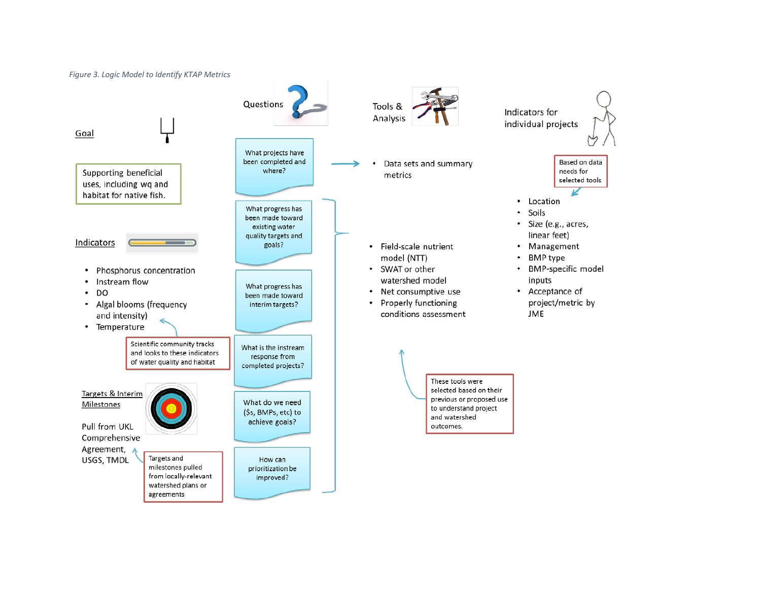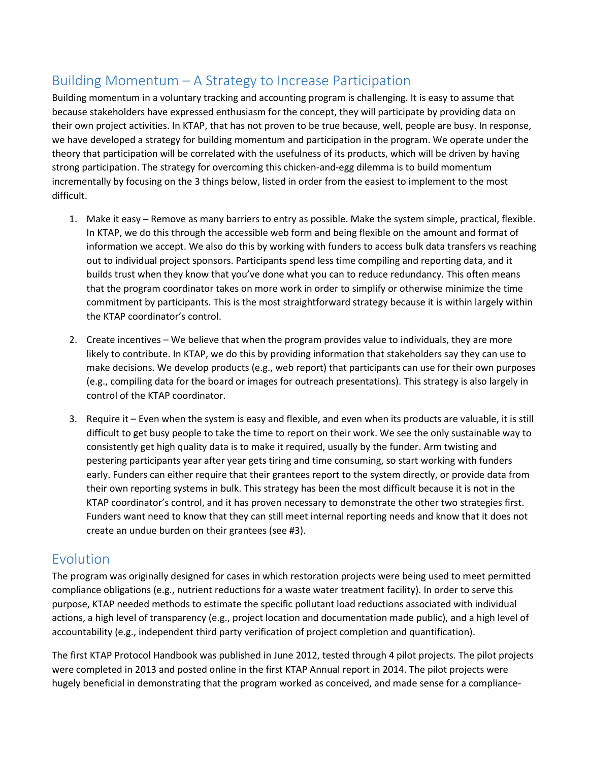# Building Momentum – A Strategy to Increase Participation

Building momentum in a voluntary tracking and accounting program is challenging. It is easy to assume that because stakeholders have expressed enthusiasm for the concept, they will participate by providing data on their own project activities. In KTAP, that has not proven to be true because, well, people are busy. In response, we have developed a strategy for building momentum and participation in the program. We operate under the theory that participation will be correlated with the usefulness of its products, which will be driven by having strong participation. The strategy for overcoming this chicken-and-egg dilemma is to build momentum incrementally by focusing on the 3 things below, listed in order from the easiest to implement to the most difficult.

- 1. Make it easy Remove as many barriers to entry as possible. Make the system simple, practical, flexible. In KTAP, we do this through the accessible web form and being flexible on the amount and format of information we accept. We also do this by working with funders to access bulk data transfers vs reaching out to individual project sponsors. Participants spend less time compiling and reporting data, and it builds trust when they know that you've done what you can to reduce redundancy. This often means that the program coordinator takes on more work in order to simplify or otherwise minimize the time commitment by participants. This is the most straightforward strategy because it is within largely within the KTAP coordinator's control.
- 2. Create incentives We believe that when the program provides value to individuals, they are more likely to contribute. In KTAP, we do this by providing information that stakeholders say they can use to make decisions. We develop products (e.g., web report) that participants can use for their own purposes (e.g., compiling data for the board or images for outreach presentations). This strategy is also largely in control of the KTAP coordinator.
- 3. Require it Even when the system is easy and flexible, and even when its products are valuable, it is still difficult to get busy people to take the time to report on their work. We see the only sustainable way to consistently get high quality data is to make it required, usually by the funder. Arm twisting and pestering participants year after year gets tiring and time consuming, so start working with funders early. Funders can either require that their grantees report to the system directly, or provide data from their own reporting systems in bulk. This strategy has been the most difficult because it is not in the KTAP coordinator's control, and it has proven necessary to demonstrate the other two strategies first. Funders want need to know that they can still meet internal reporting needs and know that it does not create an undue burden on their grantees (see #3).

# Evolution

The program was originally designed for cases in which restoration projects were being used to meet permitted compliance obligations (e.g., nutrient reductions for a waste water treatment facility). In order to serve this purpose, KTAP needed methods to estimate the specific pollutant load reductions associated with individual actions, a high level of transparency (e.g., project location and documentation made public), and a high level of accountability (e.g., independent third party verification of project completion and quantification).

The first KTAP Protocol Handbook was published in June 2012, tested through 4 pilot projects. The pilot projects were completed in 2013 and posted online in the first KTAP Annual report in 2014. The pilot projects were hugely beneficial in demonstrating that the program worked as conceived, and made sense for a compliance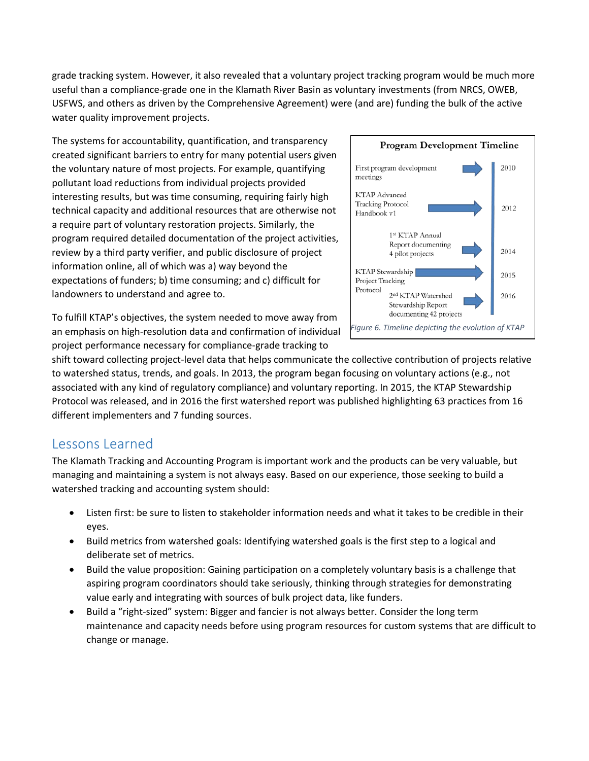grade tracking system. However, it also revealed that a voluntary project tracking program would be much more useful than a compliance-grade one in the Klamath River Basin as voluntary investments (from NRCS, OWEB, USFWS, and others as driven by the Comprehensive Agreement) were (and are) funding the bulk of the active water quality improvement projects.

The systems for accountability, quantification, and transparency created significant barriers to entry for many potential users given the voluntary nature of most projects. For example, quantifying pollutant load reductions from individual projects provided interesting results, but was time consuming, requiring fairly high technical capacity and additional resources that are otherwise not a require part of voluntary restoration projects. Similarly, the program required detailed documentation of the project activities, review by a third party verifier, and public disclosure of project information online, all of which was a) way beyond the expectations of funders; b) time consuming; and c) difficult for landowners to understand and agree to.

To fulfill KTAP's objectives, the system needed to move away from an emphasis on high-resolution data and confirmation of individual project performance necessary for compliance-grade tracking to



shift toward collecting project-level data that helps communicate the collective contribution of projects relative to watershed status, trends, and goals. In 2013, the program began focusing on voluntary actions (e.g., not associated with any kind of regulatory compliance) and voluntary reporting. In 2015, the KTAP Stewardship Protocol was released, and in 2016 the first watershed report was published highlighting 63 practices from 16 different implementers and 7 funding sources.

## Lessons Learned

The Klamath Tracking and Accounting Program is important work and the products can be very valuable, but managing and maintaining a system is not always easy. Based on our experience, those seeking to build a watershed tracking and accounting system should:

- Listen first: be sure to listen to stakeholder information needs and what it takes to be credible in their eyes.
- Build metrics from watershed goals: Identifying watershed goals is the first step to a logical and deliberate set of metrics.
- Build the value proposition: Gaining participation on a completely voluntary basis is a challenge that aspiring program coordinators should take seriously, thinking through strategies for demonstrating value early and integrating with sources of bulk project data, like funders.
- Build a "right-sized" system: Bigger and fancier is not always better. Consider the long term maintenance and capacity needs before using program resources for custom systems that are difficult to change or manage.